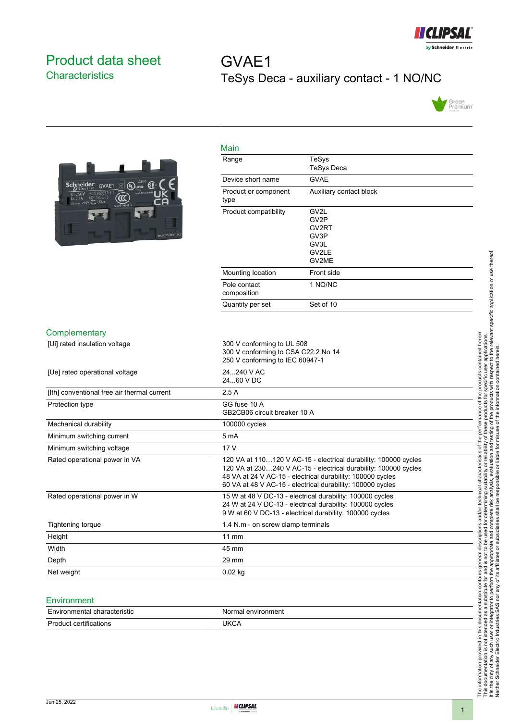

## <span id="page-0-0"></span>Product data sheet **Characteristics**

# GVAE1 TeSys Deca - auxiliary contact - 1 NO/NC





| Main                         |                                                                                  |
|------------------------------|----------------------------------------------------------------------------------|
| Range                        | TeSys<br><b>TeSys Deca</b>                                                       |
| Device short name            | <b>GVAE</b>                                                                      |
| Product or component<br>type | Auxiliary contact block                                                          |
| Product compatibility        | GV <sub>2L</sub><br>GV <sub>2</sub> P<br>GV2RT<br>GV3P<br>GV3L<br>GV2LE<br>GV2ME |
| Mounting location            | Front side                                                                       |
| Pole contact<br>composition  | 1 NO/NC                                                                          |
| Quantity per set             | Set of 10                                                                        |

#### **Complementary**

| [Ui] rated insulation voltage               | 300 V conforming to UL 508                                      |
|---------------------------------------------|-----------------------------------------------------------------|
|                                             | 300 V conforming to CSA C22.2 No 14                             |
|                                             | 250 V conforming to IEC 60947-1                                 |
| [Ue] rated operational voltage              | 24240 V AC                                                      |
|                                             | 24.60 V DC                                                      |
| [Ith] conventional free air thermal current | 2.5A                                                            |
| Protection type                             | GG fuse 10 A                                                    |
|                                             | GB2CB06 circuit breaker 10 A                                    |
| Mechanical durability                       | 100000 cycles                                                   |
| Minimum switching current                   | 5 <sub>m</sub> A                                                |
| Minimum switching voltage                   | 17 <sub>V</sub>                                                 |
| Rated operational power in VA               | 120 VA at 110120 V AC-15 - electrical durability: 100000 cycles |
|                                             | 120 VA at 230240 V AC-15 - electrical durability: 100000 cycles |
|                                             | 48 VA at 24 V AC-15 - electrical durability: 100000 cycles      |
|                                             | 60 VA at 48 V AC-15 - electrical durability: 100000 cycles      |
| Rated operational power in W                | 15 W at 48 V DC-13 - electrical durability: 100000 cycles       |
|                                             | 24 W at 24 V DC-13 - electrical durability: 100000 cycles       |
|                                             | 9 W at 60 V DC-13 - electrical durability: 100000 cycles        |
| Tightening torque                           | 1.4 N.m - on screw clamp terminals                              |
| Height                                      | 11 mm                                                           |
| Width                                       | 45 mm                                                           |
| Depth                                       | $29 \text{ mm}$                                                 |
| Net weight                                  | $0.02$ kg                                                       |
|                                             |                                                                 |

#### **Environment**

| Environmental characteristic | Normal environment |
|------------------------------|--------------------|
| Product<br>≒certifications   | JKCA               |

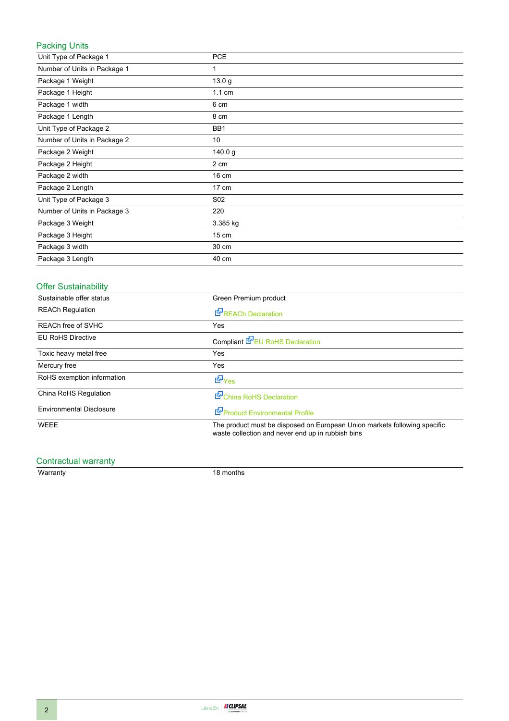## Packing Units

| Unit Type of Package 1       | <b>PCE</b>       |
|------------------------------|------------------|
| Number of Units in Package 1 | 1                |
| Package 1 Weight             | 13.0 g           |
| Package 1 Height             | $1.1 \text{ cm}$ |
| Package 1 width              | 6 cm             |
| Package 1 Length             | 8 cm             |
| Unit Type of Package 2       | BB1              |
| Number of Units in Package 2 | 10               |
| Package 2 Weight             | 140.0 g          |
| Package 2 Height             | 2 cm             |
| Package 2 width              | 16 cm            |
| Package 2 Length             | 17 cm            |
| Unit Type of Package 3       | S <sub>02</sub>  |
| Number of Units in Package 3 | 220              |
| Package 3 Weight             | 3.385 kg         |
| Package 3 Height             | 15 cm            |
| Package 3 width              | 30 cm            |
| Package 3 Length             | 40 cm            |

## Offer Sustainability

| Sustainable offer status        | Green Premium product                                                                                                          |
|---------------------------------|--------------------------------------------------------------------------------------------------------------------------------|
| <b>REACh Regulation</b>         | REACh Declaration                                                                                                              |
| REACh free of SVHC              | Yes                                                                                                                            |
| <b>EU RoHS Directive</b>        | Compliant EV EU RoHS Declaration                                                                                               |
| Toxic heavy metal free          | Yes                                                                                                                            |
| Mercury free                    | Yes                                                                                                                            |
| RoHS exemption information      | d Yes                                                                                                                          |
| China RoHS Regulation           | China RoHS Declaration                                                                                                         |
| <b>Environmental Disclosure</b> | Product Environmental Profile                                                                                                  |
| <b>WEEE</b>                     | The product must be disposed on European Union markets following specific<br>waste collection and never end up in rubbish bins |

### Contractual warranty

Warranty 18 months